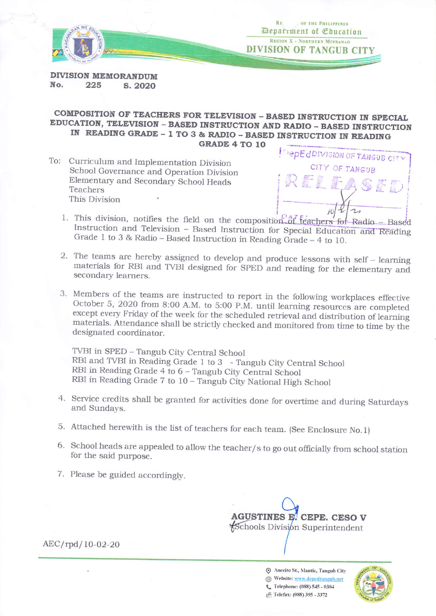



**DIVISION MEMORANDUM** No. 225 S. 2020

# COMPOSITION OF TEACHERS FOR TELEVISION - BASED INSTRUCTION IN SPECIAL EDUCATION, TELEVISION - BASED INSTRUCTION AND RADIO - BASED INSTRUCTION IN READING GRADE - 1 TO 3 & RADIO - BASED INSTRUCTION IN READING **GRADE 4 TO 10**

To: Curriculum and Implementation Division School Governance and Operation Division Elementary and Secondary School Heads Teachers This Division



- 1. This division, notifies the field on the composition of feachers for Radio Based Instruction and Television - Based Instruction for Special Education and Reading Grade 1 to 3 & Radio - Based Instruction in Reading Grade - 4 to 10.
- 2. The teams are hereby assigned to develop and produce lessons with self learning materials for RBI and TVBI designed for SPED and reading for the elementary and secondary learners.
- 3. Members of the teams are instructed to report in the following workplaces effective October 5, 2020 from 8:00 A.M. to 5:00 P.M. until learning resources are completed except every Friday of the week for the scheduled retrieval and distribution of learning materials. Attendance shall be strictly checked and monitored from time to time by the designated coordinator.

TVBI in SPED - Tangub City Central School RBI and TVBI in Reading Grade 1 to 3 - Tangub City Central School RBI in Reading Grade 4 to 6 - Tangub City Central School RBI in Reading Grade 7 to 10 - Tangub City National High School

- 4. Service credits shall be granted for activities done for overtime and during Saturdays and Sundays.
- 5. Attached herewith is the list of teachers for each team. (See Enclosure No.1)
- 6. School heads are appealed to allow the teacher/s to go out officially from school station for the said purpose.
- 7. Please be guided accordingly.



 $AEC/rpd/10-02-20$ 

Anecito St., Mantic, Tangub City Website: www.depedtangub.net C Telephone: (088) 545 - 0304

<sup>2</sup> Telefax: (088) 395 - 3372

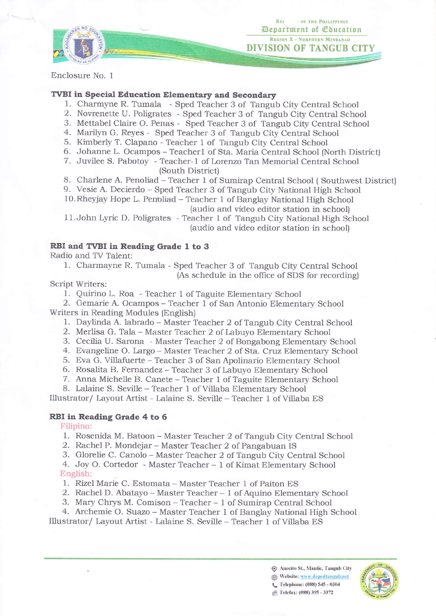

**REL OF THE PHILIPPINES** Department of *Coucation* REGION X - NORTHERN MINDANAO DIVISION OF TANGUB CIT

Enclosure No. <sup>1</sup>

### TVBI in Special Education Elementary and Secondary

- 1. Charmyne R. Tumala Sped Teacher 3 of Tangub City Central School
- 2. Novrenette U. Poligrates Sped Teacher 3 of Tangub City Central School
- 3. Mettabel Claire O. Penas Sped Teacher 3 of Tangub City Central School
- 4. Marilyn G. Reyes Sped Teacher 3 of Tangub City Central School
- 5. Kimberly T. Clapano Teacher 1 of Tangub City Central School
- 6. Johanne L. Ocampos Teacherl of Sta. Maria Central School (North District)
- 7. Juvilee S. Pabotoy Teacher- 1 of Lorenzo Tan Memorial Central School (South District)
- 8. Charlene A. Penoliad Teacher 1 of Sumirap Central School ( Southwest District)
- 9. Vesie A. Decierdo Sped Teacher 3 of Tangub City National High School
- l0.Rheyjay Hope L. Penoliad Teacher 1 of Bangiay National High School (audio and video editor station in school)

11.John Lyric D. Poligrates - Teacher 1 of Tangub City National High School (audio and video editor station in school)

### RBI and TVBI in Reading Grade 1 to 3

Radio and TV Talent:

1. Charmayne R. Tumala - Sped Teacher 3 of Tangub City Central School (As schedule in the office of SDS for recording)

Script Writers:

1. Quirino L. Roa - Teacher 1 of Taguite Elementary School

2. Gemarie A. Ocampos - Teacher I of San Antonio Elementary School Writers in Reading Modules (English)

- 1. Daylinda A. labrado Master Teacher 2 of Tangub City Central School
- 2. Merlisa G. TaIa Master Teacher 2 of Labuyo Eiementary School
- 3. Cecilia U. Sarona Master Teacher 2 of Bongabong Elementary School
- 4. Evangeline O. Largo Master Teacher 2 of Sta. Cruz Elementary School
- 5. Eva G. Villafuerte Teacher 3 of San Apolinario Elementary School
- 6. Rosalita B. Fernandez Teacher 3 of Labuyo Elementary School
- 7. Anna Michelle B. Canete Teacher 1 of Taguite Elementary School

8. Lalaine S. Seville - Teacher 1 of ViIIaba Elementary School

Illustrator/ Layout Artist - Lalaine S. Seville - Teacher 1 of Villaba ES

#### RBI in Reading Grade 4 to 6

Filipino:

- 1. Rosenida M. Batoon Master Teacher 2 of Tangub City Central School
- 2. Rachel P. Mondejar Master Teacher 2 of Pangabuan IS
- 3. Glorelie C. Canolo Master Teacher 2 of Tangub City Central School
- 4. Joy O. Cortedor Master Teacher 1 of Kimat Elementary School English:
- 1. Rizel Marie C. Estomata Master Teacher I of Paiton ES
- 2. Rachel D. Abatayo Master Teacher 1 of Aquino Elementary School
- 3. Mary Chrys M. Comison Teacher 1 of Sumirap Central School

4. Archemie O. Suazo – Master Teacher 1 of Banglay National High School

Illustrator/ Layout Artist - Lalaine S. Seville - Teacher 1 of Villaba ES

 $\odot$  Anecito St., Mantic, Tangub City Website: www.depedtangub.net **L** Telephone: (088) 545 - 0304 f<sup>ta</sup> Telefax: (088) 395 - 3372